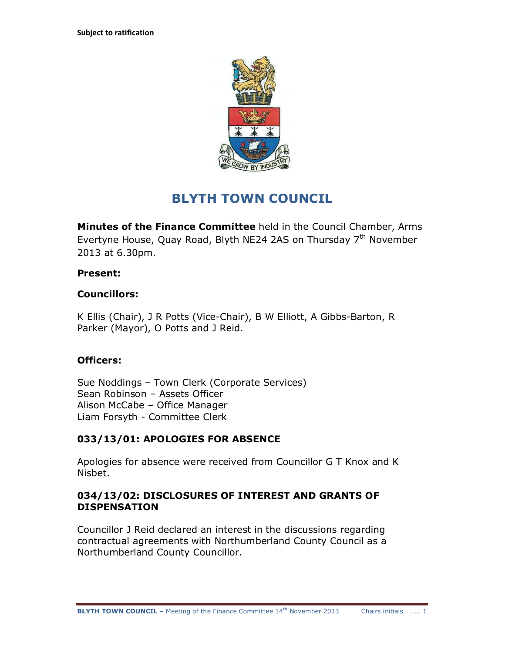

# **BLYTH TOWN COUNCIL**

**Minutes of the Finance Committee** held in the Council Chamber, Arms Evertyne House, Quay Road, Blyth NE24 2AS on Thursday 7<sup>th</sup> November 2013 at 6.30pm.

#### **Present:**

#### **Councillors:**

K Ellis (Chair), J R Potts (Vice-Chair), B W Elliott, A Gibbs-Barton, R Parker (Mayor), O Potts and J Reid.

#### **Officers:**

Sue Noddings – Town Clerk (Corporate Services) Sean Robinson – Assets Officer Alison McCabe – Office Manager Liam Forsyth - Committee Clerk

# **033/13/01: APOLOGIES FOR ABSENCE**

Apologies for absence were received from Councillor G T Knox and K Nisbet.

#### **034/13/02: DISCLOSURES OF INTEREST AND GRANTS OF DISPENSATION**

Councillor J Reid declared an interest in the discussions regarding contractual agreements with Northumberland County Council as a Northumberland County Councillor.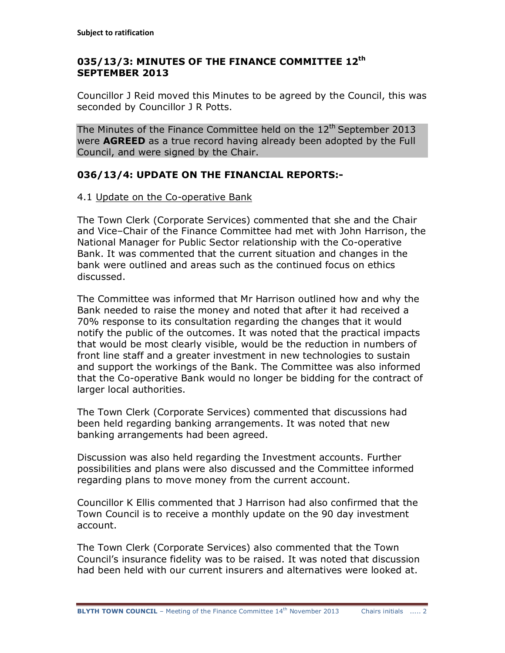# **035/13/3: MINUTES OF THE FINANCE COMMITTEE 12th SEPTEMBER 2013**

Councillor J Reid moved this Minutes to be agreed by the Council, this was seconded by Councillor J R Potts.

The Minutes of the Finance Committee held on the  $12<sup>th</sup>$  September 2013 were **AGREED** as a true record having already been adopted by the Full Council, and were signed by the Chair.

# **036/13/4: UPDATE ON THE FINANCIAL REPORTS:-**

# 4.1 Update on the Co-operative Bank

The Town Clerk (Corporate Services) commented that she and the Chair and Vice–Chair of the Finance Committee had met with John Harrison, the National Manager for Public Sector relationship with the Co-operative Bank. It was commented that the current situation and changes in the bank were outlined and areas such as the continued focus on ethics discussed.

The Committee was informed that Mr Harrison outlined how and why the Bank needed to raise the money and noted that after it had received a 70% response to its consultation regarding the changes that it would notify the public of the outcomes. It was noted that the practical impacts that would be most clearly visible, would be the reduction in numbers of front line staff and a greater investment in new technologies to sustain and support the workings of the Bank. The Committee was also informed that the Co-operative Bank would no longer be bidding for the contract of larger local authorities.

The Town Clerk (Corporate Services) commented that discussions had been held regarding banking arrangements. It was noted that new banking arrangements had been agreed.

Discussion was also held regarding the Investment accounts. Further possibilities and plans were also discussed and the Committee informed regarding plans to move money from the current account.

Councillor K Ellis commented that J Harrison had also confirmed that the Town Council is to receive a monthly update on the 90 day investment account.

The Town Clerk (Corporate Services) also commented that the Town Council's insurance fidelity was to be raised. It was noted that discussion had been held with our current insurers and alternatives were looked at.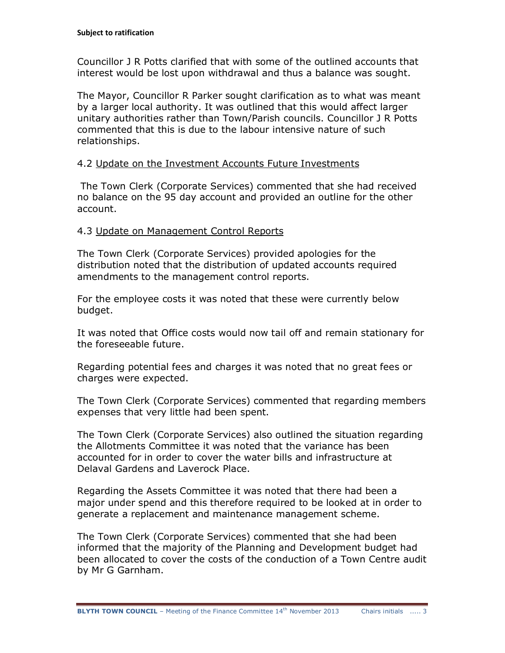Councillor J R Potts clarified that with some of the outlined accounts that interest would be lost upon withdrawal and thus a balance was sought.

The Mayor, Councillor R Parker sought clarification as to what was meant by a larger local authority. It was outlined that this would affect larger unitary authorities rather than Town/Parish councils. Councillor J R Potts commented that this is due to the labour intensive nature of such relationships.

# 4.2 Update on the Investment Accounts Future Investments

The Town Clerk (Corporate Services) commented that she had received no balance on the 95 day account and provided an outline for the other account.

# 4.3 Update on Management Control Reports

The Town Clerk (Corporate Services) provided apologies for the distribution noted that the distribution of updated accounts required amendments to the management control reports.

For the employee costs it was noted that these were currently below budget.

It was noted that Office costs would now tail off and remain stationary for the foreseeable future.

Regarding potential fees and charges it was noted that no great fees or charges were expected.

The Town Clerk (Corporate Services) commented that regarding members expenses that very little had been spent.

The Town Clerk (Corporate Services) also outlined the situation regarding the Allotments Committee it was noted that the variance has been accounted for in order to cover the water bills and infrastructure at Delaval Gardens and Laverock Place.

Regarding the Assets Committee it was noted that there had been a major under spend and this therefore required to be looked at in order to generate a replacement and maintenance management scheme.

The Town Clerk (Corporate Services) commented that she had been informed that the majority of the Planning and Development budget had been allocated to cover the costs of the conduction of a Town Centre audit by Mr G Garnham.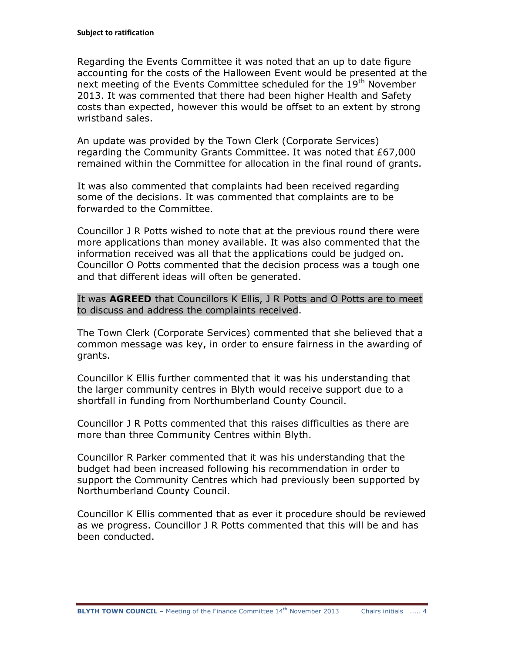Regarding the Events Committee it was noted that an up to date figure accounting for the costs of the Halloween Event would be presented at the next meeting of the Events Committee scheduled for the 19<sup>th</sup> November 2013. It was commented that there had been higher Health and Safety costs than expected, however this would be offset to an extent by strong wristband sales.

An update was provided by the Town Clerk (Corporate Services) regarding the Community Grants Committee. It was noted that £67,000 remained within the Committee for allocation in the final round of grants.

It was also commented that complaints had been received regarding some of the decisions. It was commented that complaints are to be forwarded to the Committee.

Councillor J R Potts wished to note that at the previous round there were more applications than money available. It was also commented that the information received was all that the applications could be judged on. Councillor O Potts commented that the decision process was a tough one and that different ideas will often be generated.

It was **AGREED** that Councillors K Ellis, J R Potts and O Potts are to meet to discuss and address the complaints received.

The Town Clerk (Corporate Services) commented that she believed that a common message was key, in order to ensure fairness in the awarding of grants.

Councillor K Ellis further commented that it was his understanding that the larger community centres in Blyth would receive support due to a shortfall in funding from Northumberland County Council.

Councillor J R Potts commented that this raises difficulties as there are more than three Community Centres within Blyth.

Councillor R Parker commented that it was his understanding that the budget had been increased following his recommendation in order to support the Community Centres which had previously been supported by Northumberland County Council.

Councillor K Ellis commented that as ever it procedure should be reviewed as we progress. Councillor J R Potts commented that this will be and has been conducted.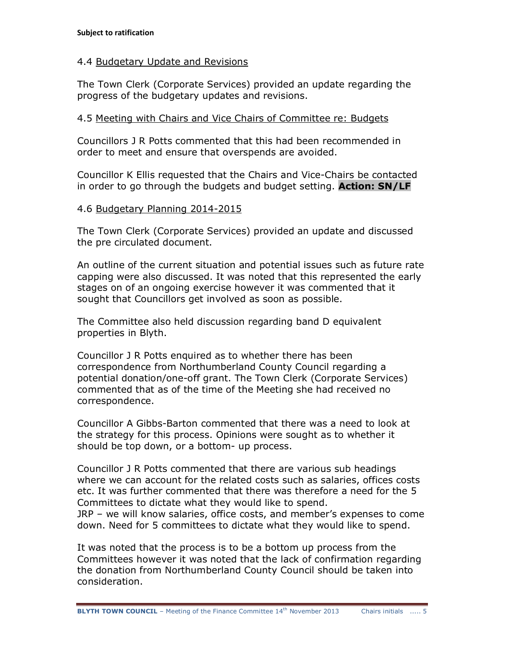### 4.4 Budgetary Update and Revisions

The Town Clerk (Corporate Services) provided an update regarding the progress of the budgetary updates and revisions.

# 4.5 Meeting with Chairs and Vice Chairs of Committee re: Budgets

Councillors J R Potts commented that this had been recommended in order to meet and ensure that overspends are avoided.

Councillor K Ellis requested that the Chairs and Vice-Chairs be contacted in order to go through the budgets and budget setting. **Action: SN/LF**

#### 4.6 Budgetary Planning 2014-2015

The Town Clerk (Corporate Services) provided an update and discussed the pre circulated document.

An outline of the current situation and potential issues such as future rate capping were also discussed. It was noted that this represented the early stages on of an ongoing exercise however it was commented that it sought that Councillors get involved as soon as possible.

The Committee also held discussion regarding band D equivalent properties in Blyth.

Councillor J R Potts enquired as to whether there has been correspondence from Northumberland County Council regarding a potential donation/one-off grant. The Town Clerk (Corporate Services) commented that as of the time of the Meeting she had received no correspondence.

Councillor A Gibbs-Barton commented that there was a need to look at the strategy for this process. Opinions were sought as to whether it should be top down, or a bottom- up process.

Councillor J R Potts commented that there are various sub headings where we can account for the related costs such as salaries, offices costs etc. It was further commented that there was therefore a need for the 5 Committees to dictate what they would like to spend. JRP – we will know salaries, office costs, and member's expenses to come down. Need for 5 committees to dictate what they would like to spend.

It was noted that the process is to be a bottom up process from the Committees however it was noted that the lack of confirmation regarding the donation from Northumberland County Council should be taken into consideration.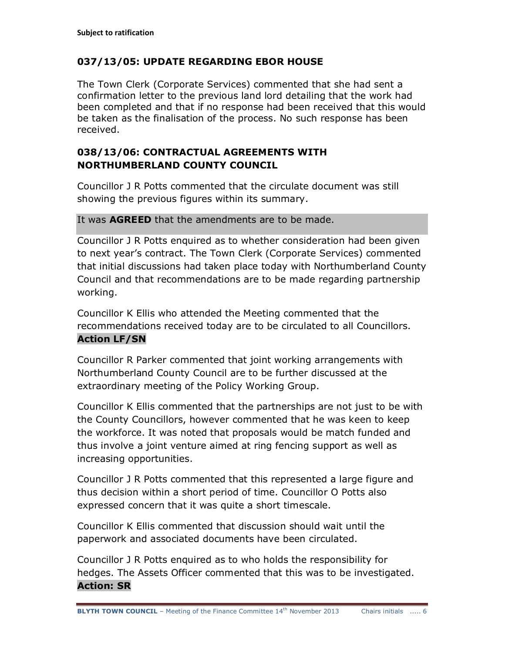# **037/13/05: UPDATE REGARDING EBOR HOUSE**

The Town Clerk (Corporate Services) commented that she had sent a confirmation letter to the previous land lord detailing that the work had been completed and that if no response had been received that this would be taken as the finalisation of the process. No such response has been received.

# **038/13/06: CONTRACTUAL AGREEMENTS WITH NORTHUMBERLAND COUNTY COUNCIL**

Councillor J R Potts commented that the circulate document was still showing the previous figures within its summary.

It was **AGREED** that the amendments are to be made.

Councillor J R Potts enquired as to whether consideration had been given to next year's contract. The Town Clerk (Corporate Services) commented that initial discussions had taken place today with Northumberland County Council and that recommendations are to be made regarding partnership working.

Councillor K Ellis who attended the Meeting commented that the recommendations received today are to be circulated to all Councillors. **Action LF/SN**

Councillor R Parker commented that joint working arrangements with Northumberland County Council are to be further discussed at the extraordinary meeting of the Policy Working Group.

Councillor K Ellis commented that the partnerships are not just to be with the County Councillors, however commented that he was keen to keep the workforce. It was noted that proposals would be match funded and thus involve a joint venture aimed at ring fencing support as well as increasing opportunities.

Councillor J R Potts commented that this represented a large figure and thus decision within a short period of time. Councillor O Potts also expressed concern that it was quite a short timescale.

Councillor K Ellis commented that discussion should wait until the paperwork and associated documents have been circulated.

Councillor J R Potts enquired as to who holds the responsibility for hedges. The Assets Officer commented that this was to be investigated. **Action: SR**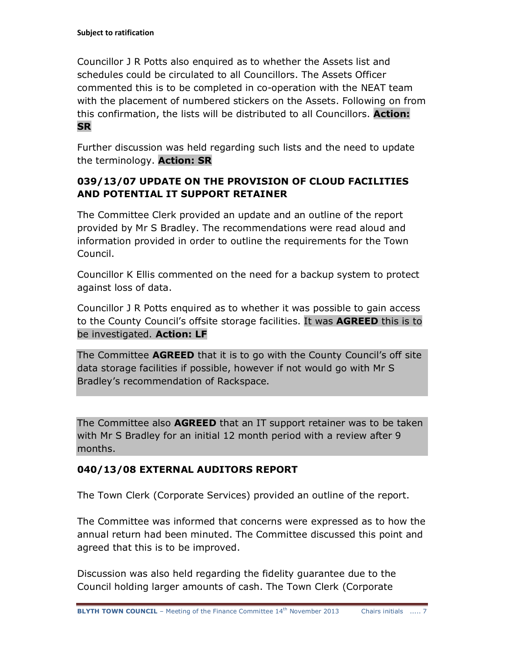Councillor J R Potts also enquired as to whether the Assets list and schedules could be circulated to all Councillors. The Assets Officer commented this is to be completed in co-operation with the NEAT team with the placement of numbered stickers on the Assets. Following on from this confirmation, the lists will be distributed to all Councillors. **Action: SR**

Further discussion was held regarding such lists and the need to update the terminology. **Action: SR**

# **039/13/07 UPDATE ON THE PROVISION OF CLOUD FACILITIES AND POTENTIAL IT SUPPORT RETAINER**

The Committee Clerk provided an update and an outline of the report provided by Mr S Bradley. The recommendations were read aloud and information provided in order to outline the requirements for the Town Council.

Councillor K Ellis commented on the need for a backup system to protect against loss of data.

Councillor J R Potts enquired as to whether it was possible to gain access to the County Council's offsite storage facilities. It was **AGREED** this is to be investigated. **Action: LF**

The Committee **AGREED** that it is to go with the County Council's off site data storage facilities if possible, however if not would go with Mr S Bradley's recommendation of Rackspace.

The Committee also **AGREED** that an IT support retainer was to be taken with Mr S Bradley for an initial 12 month period with a review after 9 months.

# **040/13/08 EXTERNAL AUDITORS REPORT**

The Town Clerk (Corporate Services) provided an outline of the report.

The Committee was informed that concerns were expressed as to how the annual return had been minuted. The Committee discussed this point and agreed that this is to be improved.

Discussion was also held regarding the fidelity guarantee due to the Council holding larger amounts of cash. The Town Clerk (Corporate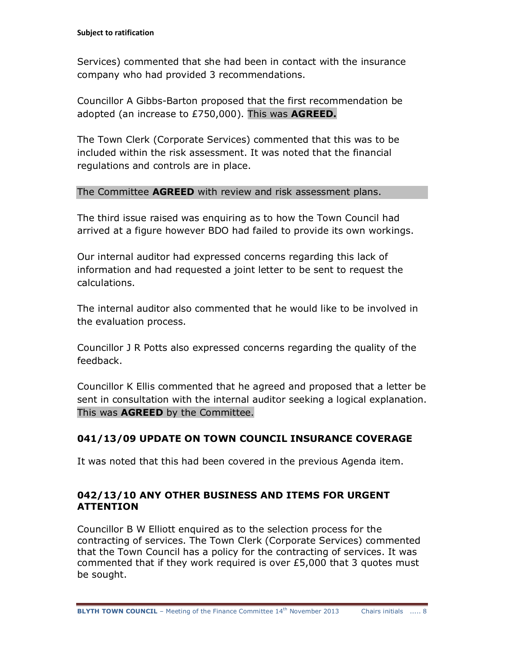Services) commented that she had been in contact with the insurance company who had provided 3 recommendations.

Councillor A Gibbs-Barton proposed that the first recommendation be adopted (an increase to £750,000). This was **AGREED.**

The Town Clerk (Corporate Services) commented that this was to be included within the risk assessment. It was noted that the financial regulations and controls are in place.

# The Committee **AGREED** with review and risk assessment plans.

The third issue raised was enquiring as to how the Town Council had arrived at a figure however BDO had failed to provide its own workings.

Our internal auditor had expressed concerns regarding this lack of information and had requested a joint letter to be sent to request the calculations.

The internal auditor also commented that he would like to be involved in the evaluation process.

Councillor J R Potts also expressed concerns regarding the quality of the feedback.

Councillor K Ellis commented that he agreed and proposed that a letter be sent in consultation with the internal auditor seeking a logical explanation. This was **AGREED** by the Committee.

# **041/13/09 UPDATE ON TOWN COUNCIL INSURANCE COVERAGE**

It was noted that this had been covered in the previous Agenda item.

# **042/13/10 ANY OTHER BUSINESS AND ITEMS FOR URGENT ATTENTION**

Councillor B W Elliott enquired as to the selection process for the contracting of services. The Town Clerk (Corporate Services) commented that the Town Council has a policy for the contracting of services. It was commented that if they work required is over £5,000 that 3 quotes must be sought.